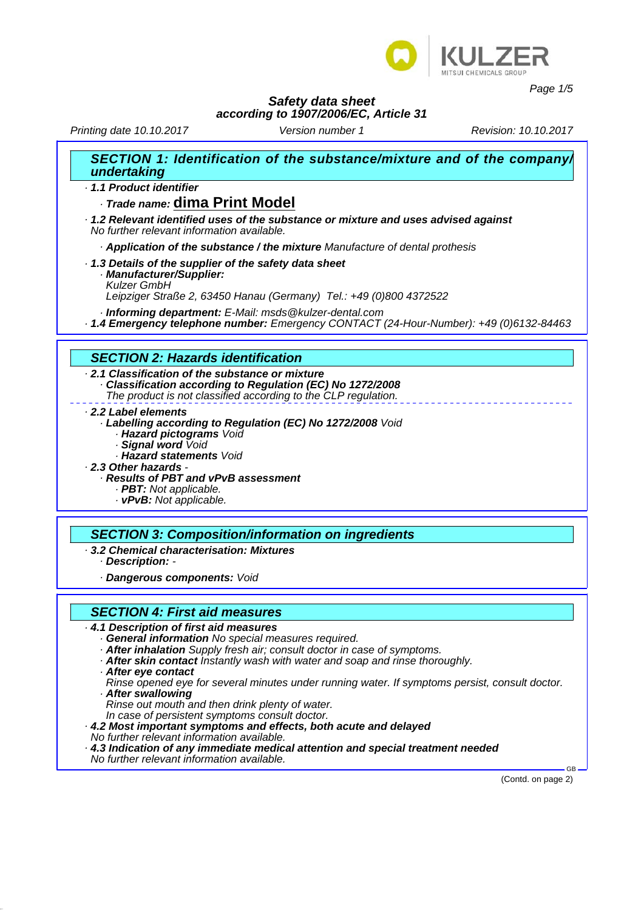

*Page 1/5*

## *Safety data sheet*

#### *according to 1907/2006/EC, Article 31*

*Printing date 10.10.2017 Revision: 10.10.2017 Version number 1*

| SECTION 1: Identification of the substance/mixture and of the company/<br>undertaking                                                                                                                                                                                                                                                                                            |
|----------------------------------------------------------------------------------------------------------------------------------------------------------------------------------------------------------------------------------------------------------------------------------------------------------------------------------------------------------------------------------|
| · 1.1 Product identifier                                                                                                                                                                                                                                                                                                                                                         |
| Trade name: dima Print Model                                                                                                                                                                                                                                                                                                                                                     |
| 1.2 Relevant identified uses of the substance or mixture and uses advised against<br>No further relevant information available.                                                                                                                                                                                                                                                  |
| Application of the substance / the mixture Manufacture of dental prothesis                                                                                                                                                                                                                                                                                                       |
| 1.3 Details of the supplier of the safety data sheet<br>· Manufacturer/Supplier:<br><b>Kulzer GmbH</b><br>Leipziger Straße 2, 63450 Hanau (Germany) Tel.: +49 (0)800 4372522                                                                                                                                                                                                     |
| · Informing department: E-Mail: msds@kulzer-dental.com<br>1.4 Emergency telephone number: Emergency CONTACT (24-Hour-Number): +49 (0)6132-84463                                                                                                                                                                                                                                  |
|                                                                                                                                                                                                                                                                                                                                                                                  |
| <b>SECTION 2: Hazards identification</b>                                                                                                                                                                                                                                                                                                                                         |
| 2.1 Classification of the substance or mixture<br>Classification according to Regulation (EC) No 1272/2008<br>The product is not classified according to the CLP regulation.                                                                                                                                                                                                     |
| 2.2 Label elements<br>· Labelling according to Regulation (EC) No 1272/2008 Void<br>· Hazard pictograms Void<br>· Signal word Void<br>· Hazard statements Void<br>2.3 Other hazards -<br>Results of PBT and vPvB assessment<br>· PBT: Not applicable.<br>· vPvB: Not applicable.                                                                                                 |
| <b>SECTION 3: Composition/information on ingredients</b>                                                                                                                                                                                                                                                                                                                         |
| 3.2 Chemical characterisation: Mixtures<br>· Description: -                                                                                                                                                                                                                                                                                                                      |
| · Dangerous components: Void                                                                                                                                                                                                                                                                                                                                                     |
|                                                                                                                                                                                                                                                                                                                                                                                  |
| <b>SECTION 4: First aid measures</b>                                                                                                                                                                                                                                                                                                                                             |
| 4.1 Description of first aid measures<br>· General information No special measures required.<br>· After inhalation Supply fresh air; consult doctor in case of symptoms.<br>. After skin contact instantly wash with water and soap and rinse thoroughly.<br>After eye contact<br>Rinse opened eye for several minutes under running water. If symptoms persist, consult doctor. |

*· After swallowing*

*Rinse out mouth and then drink plenty of water.*

*In case of persistent symptoms consult doctor.*

- *· 4.2 Most important symptoms and effects, both acute and delayed*
- *No further relevant information available.*
- *· 4.3 Indication of any immediate medical attention and special treatment needed*

*No further relevant information available.*

(Contd. on page 2)

GB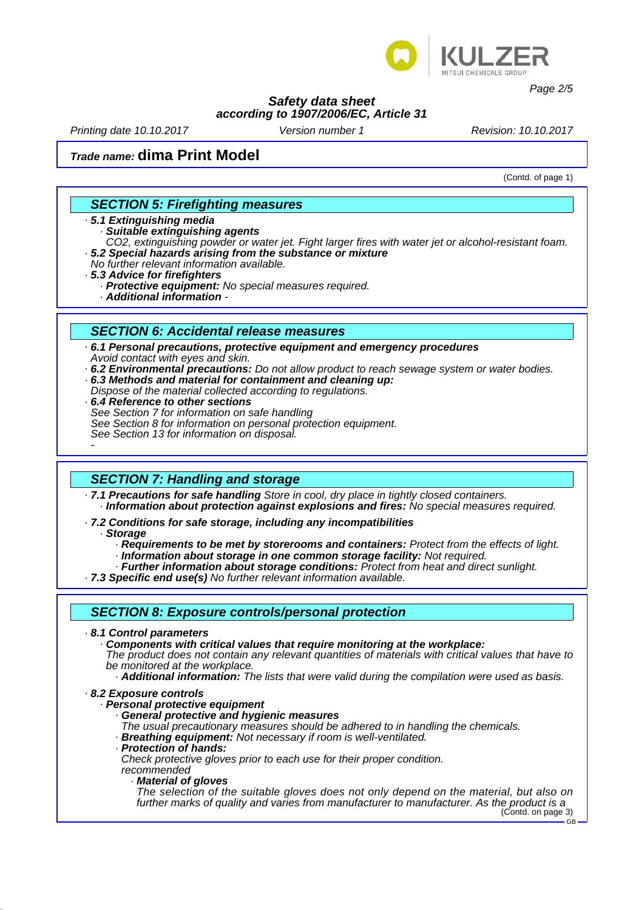

*Page 2/5*

#### *Safety data sheet according to 1907/2006/EC, Article 31*

*Printing date 10.10.2017 Revision: 10.10.2017 Version number 1*

# *Trade name:* **dima Print Model**

(Contd. of page 1)

### *SECTION 5: Firefighting measures*

#### *· 5.1 Extinguishing media*

*· Suitable extinguishing agents*

*CO2, extinguishing powder or water jet. Fight larger fires with water jet or alcohol-resistant foam. · 5.2 Special hazards arising from the substance or mixture*

- *No further relevant information available.*
- *· 5.3 Advice for firefighters*
	- **Protective equipment:** No special measures required.
	- *· Additional information*

#### *SECTION 6: Accidental release measures*

- *· 6.1 Personal precautions, protective equipment and emergency procedures Avoid contact with eyes and skin.*
- *· 6.2 Environmental precautions: Do not allow product to reach sewage system or water bodies. · 6.3 Methods and material for containment and cleaning up:*
- 
- *Dispose of the material collected according to regulations.*
- *· 6.4 Reference to other sections See Section 7 for information on safe handling See Section 8 for information on personal protection equipment. See Section 13 for information on disposal.*

### *SECTION 7: Handling and storage*

- *· 7.1 Precautions for safe handling Store in cool, dry place in tightly closed containers. · Information about protection against explosions and fires: No special measures required.*
- *· 7.2 Conditions for safe storage, including any incompatibilities · Storage*
	- *· Requirements to be met by storerooms and containers: Protect from the effects of light.*
	-
	- *· Information about storage in one common storage facility: Not required. · Further information about storage conditions: Protect from heat and direct sunlight.*
- *· 7.3 Specific end use(s) No further relevant information available.*

#### *SECTION 8: Exposure controls/personal protection*

*· 8.1 Control parameters*

*-* 

- *· Components with critical values that require monitoring at the workplace:*
- *The product does not contain any relevant quantities of materials with critical values that have to be monitored at the workplace.*
	- *· Additional information: The lists that were valid during the compilation were used as basis.*
- *· 8.2 Exposure controls*
	- *· Personal protective equipment*
		- *· General protective and hygienic measures*
		- *The usual precautionary measures should be adhered to in handling the chemicals. · Breathing equipment: Not necessary if room is well-ventilated.*
		-
		- *· Protection of hands:*

*Check protective gloves prior to each use for their proper condition. recommended*

*· Material of gloves*

*The selection of the suitable gloves does not only depend on the material, but also on further marks of quality and varies from manufacturer to manufacturer. As the product is a* (Contd. on page 3)

GB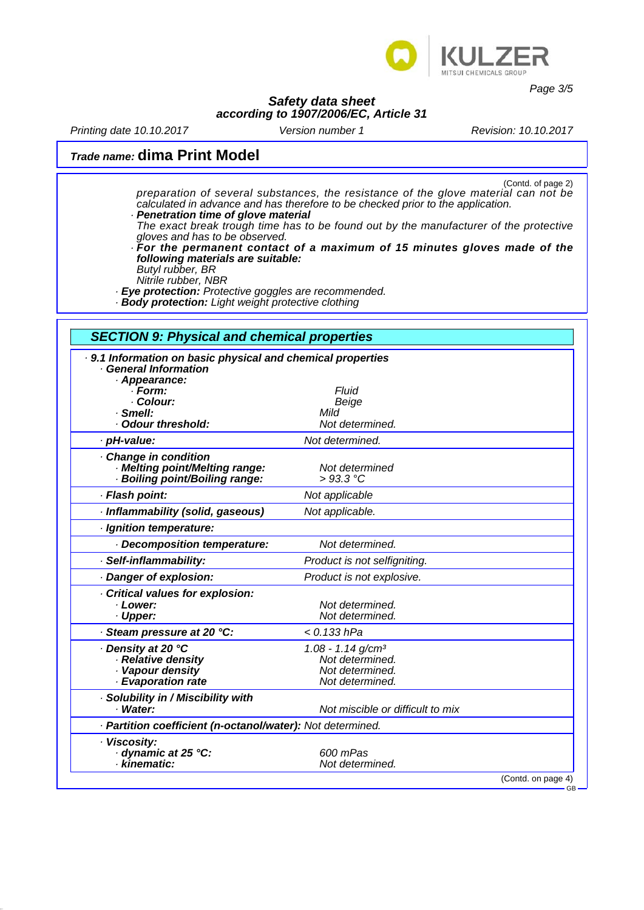

*Page 3/5*

GB

#### *Safety data sheet according to 1907/2006/EC, Article 31*

*Printing date 10.10.2017 Revision: 10.10.2017 Version number 1*

# *Trade name:* **dima Print Model**

(Contd. of page 2) *preparation of several substances, the resistance of the glove material can not be calculated in advance and has therefore to be checked prior to the application. · Penetration time of glove material*

- *The exact break trough time has to be found out by the manufacturer of the protective gloves and has to be observed.*
- *· For the permanent contact of a maximum of 15 minutes gloves made of the following materials are suitable:*
- *Butyl rubber, BR Nitrile rubber, NBR*
- *· Eye protection: Protective goggles are recommended.*
- *· Body protection: Light weight protective clothing*

## *SECTION 9: Physical and chemical properties · 9.1 Information on basic physical and chemical properties · General Information · Appearance: · Form: Fluid · Colour: Beige · Smell: Mild · Odour threshold: Not determined. · pH-value:* Not determined. *· Change in condition · Melting point/Melting range: Not determined*  $\cdot$  Boiling point/Boiling range: *· Flash point: Not applicable · Inflammability (solid, gaseous) Not applicable. · Ignition temperature: · Decomposition temperature: Not determined. · Self-inflammability: Product is not selfigniting. · Danger of explosion: Product is not explosive. · Critical values for explosion: Physical Convertion Convertion Convertion Convertion Convertion Convertion Convertion Convertion Convertion Convertion Convertion Convertion Convertion Convertion Convertion Convertion Convertion Convertion Convertion Co · Upper: Not determined. · Steam pressure at 20 °C: < 0.133 hPa · Density at 20 °C 1.08 - 1.14 g/cm³ · Relative density Not determined. · Vapour density Not determined. · Evaporation rate Not determined. · Solubility in / Miscibility with · Water: Not miscible or difficult to mix · Partition coefficient (n-octanol/water): Not determined. · Viscosity: · dynamic at 25 °C: 600 mPas*  $Not determined.$ (Contd. on page 4)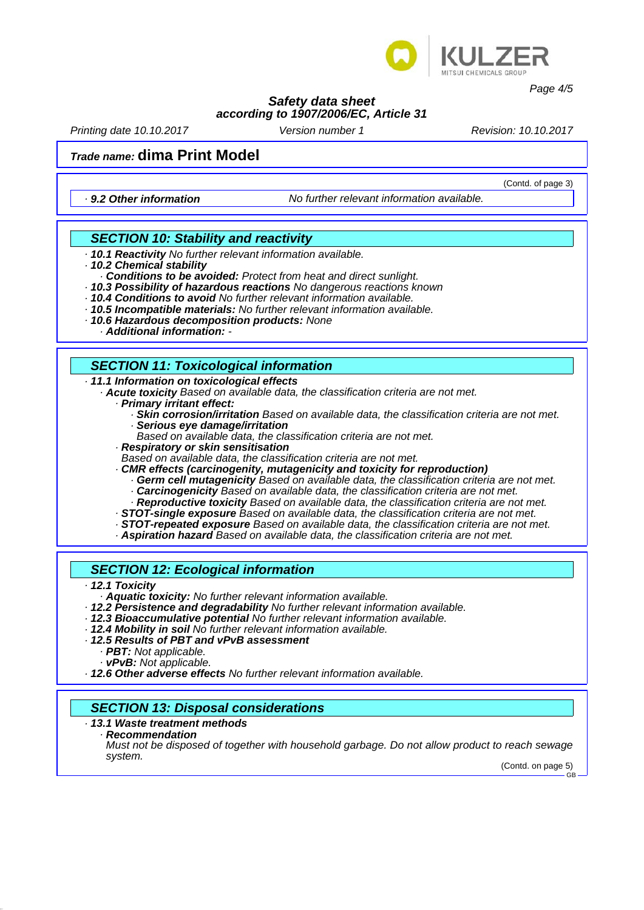

*Page 4/5*

#### *Safety data sheet according to 1907/2006/EC, Article 31*

*Printing date 10.10.2017 Revision: 10.10.2017 Version number 1*

# *Trade name:* **dima Print Model**

*· 9.2 Other information No further relevant information available.*

(Contd. of page 3)

### *SECTION 10: Stability and reactivity*

- *· 10.1 Reactivity No further relevant information available.*
- *· 10.2 Chemical stability*
	- *· Conditions to be avoided: Protect from heat and direct sunlight.*
- *· 10.3 Possibility of hazardous reactions No dangerous reactions known · 10.4 Conditions to avoid No further relevant information available.*
- 
- *· 10.5 Incompatible materials: No further relevant information available.*
- *· 10.6 Hazardous decomposition products: None · Additional information: -*

## *SECTION 11: Toxicological information*

#### *· 11.1 Information on toxicological effects*

- *· Acute toxicity Based on available data, the classification criteria are not met.*
	- *· Primary irritant effect:*
		- *· Skin corrosion/irritation Based on available data, the classification criteria are not met. · Serious eye damage/irritation*
		- *Based on available data, the classification criteria are not met.*
	- *· Respiratory or skin sensitisation*
	-
	- Based on available data, the classification criteria are not met.<br>**CMR effects (carcinogenity, mutagenicity and toxicity for reproduction)** 
		- **Germ cell mutagenicity** Based on available data, the classification criteria are not met. *· Carcinogenicity Based on available data, the classification criteria are not met.*
		- *· Reproductive toxicity Based on available data, the classification criteria are not met.*
	- *· STOT-single exposure Based on available data, the classification criteria are not met. · STOT-repeated exposure Based on available data, the classification criteria are not met.*
	-
	- *· Aspiration hazard Based on available data, the classification criteria are not met.*

### *SECTION 12: Ecological information*

- *· 12.1 Toxicity*
	- *· Aquatic toxicity: No further relevant information available.*
- · 12.2 Persistence and degradability No further relevant information available.<br>· 12.3 Bioaccumulative potential No further relevant information available.<br>· 12.4 Mobility in soil No further relevant information available
- 
- 
- - *PBT: Not applicable.*<br>*vPvB: Not applicable.*
	-
- *· vPvB: Not applicable. · 12.6 Other adverse effects No further relevant information available.*

# *SECTION 13: Disposal considerations*

## *· 13.1 Waste treatment methods*

*· Recommendation*

*Must not be disposed of together with household garbage. Do not allow product to reach sewage system.*

(Contd. on page 5) GB